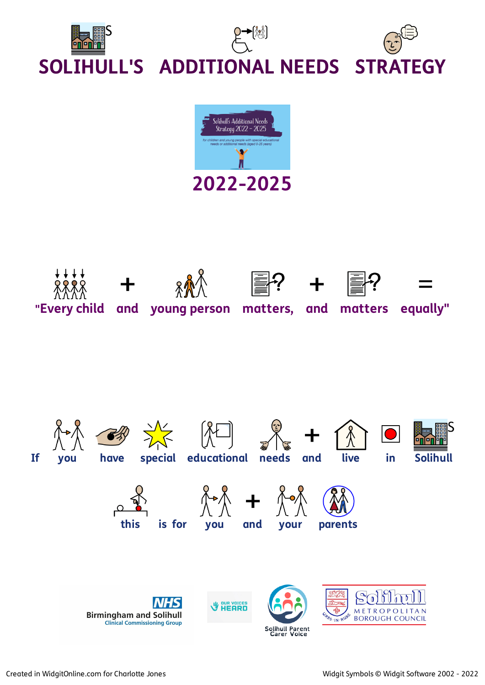



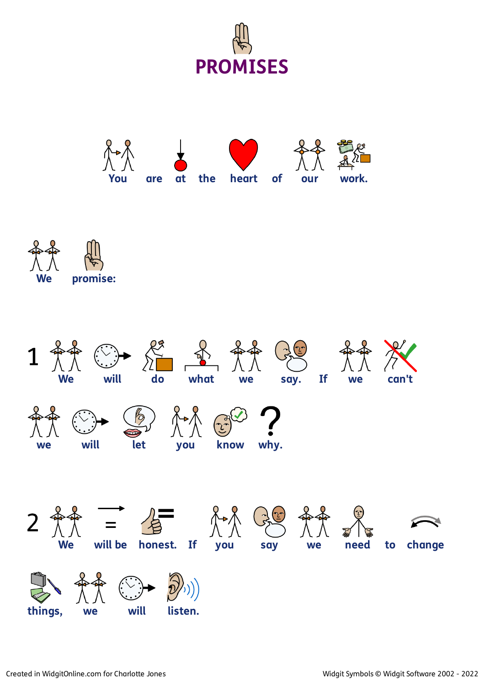





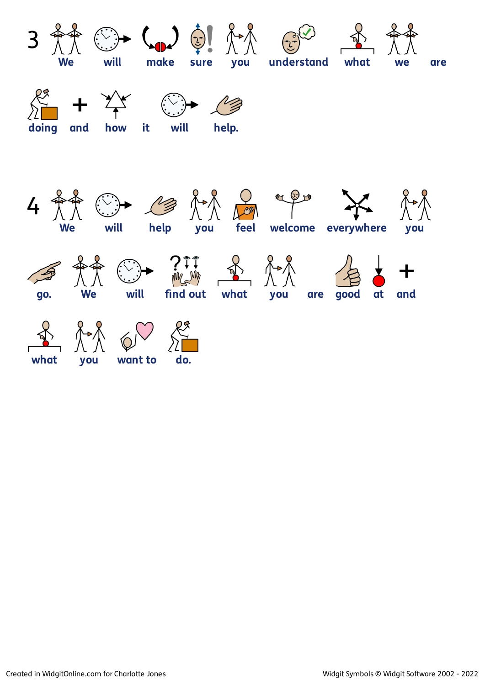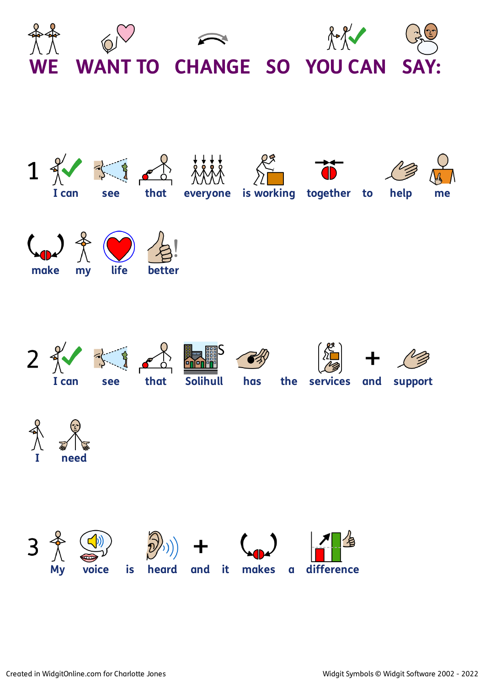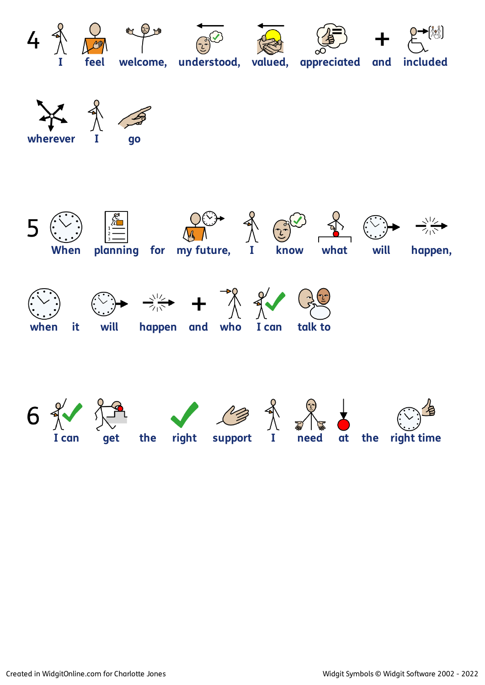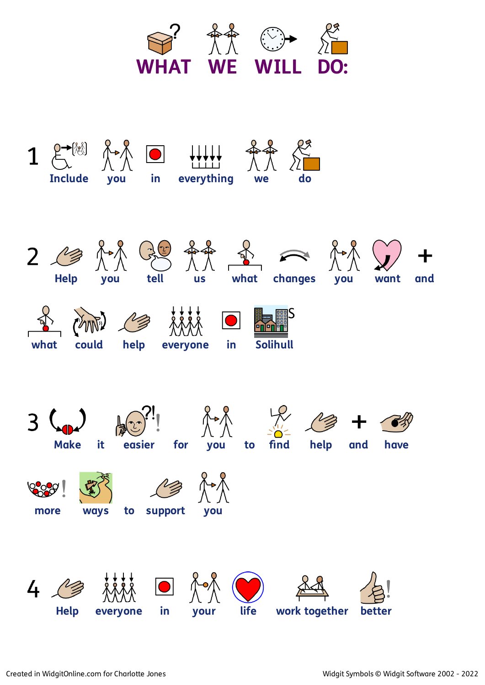



**4) Help everyone in your life work together better**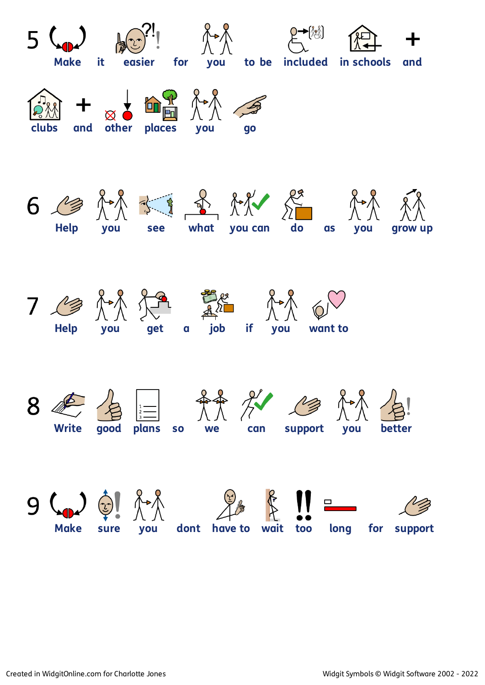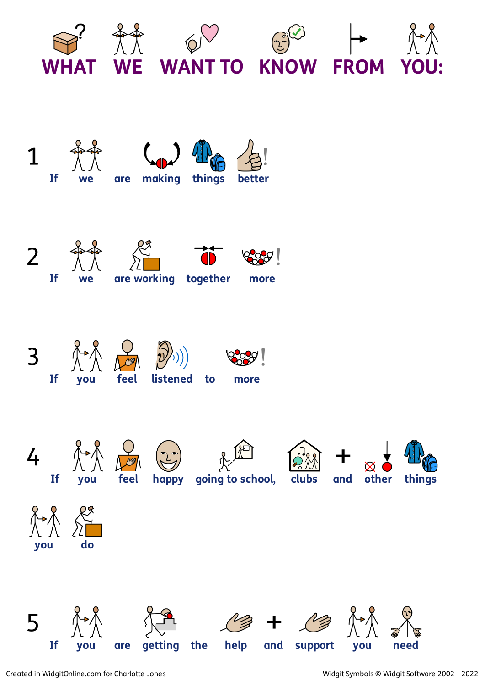

















REA **4) If you feel happy going to school, clubs and other things**







 $\begin{matrix} 8 & 8 \\ 1 & 1 \end{matrix}$ **you do**















5 个人 个个